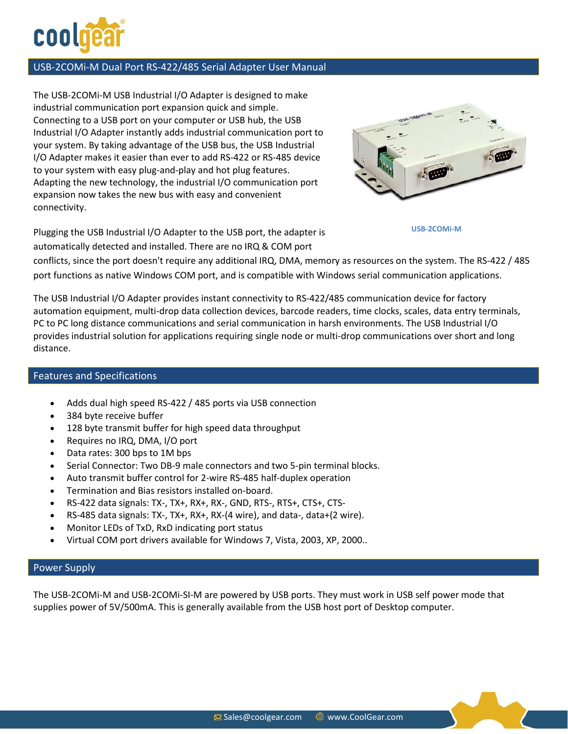

### USB-2COMi-M Dual Port RS-422/485 Serial Adapter User Manual

The [USB-2COM](http://www.coolgear.com/product/usb-to-dual-serial-rs-422-rs-485-industrial-adapter)i-M USB Industrial I/O Adapter is designed to make industrial communication port expansion quick and simple. Connecting to a USB port on your computer or USB hub, the USB Industrial I/O Adapter instantly adds industrial communication port to your system. By taking advantage of the USB bus, the USB Industrial I/O Adapter makes it easier than ever to add RS-422 or RS-485 device to your system with easy plug-and-play and hot plug features. Adapting the new technology, the industrial I/O communication port expansion now takes the new bus with easy and convenient connectivity.



**USB-2COMi-M** 

Plugging the USB Industrial I/O Adapter to the USB port, the adapter is automatically detected and installed. There are no IRQ & COM port

conflicts, since the port doesn't require any additional IRQ, DMA, memory as resources on the system. The RS-422 / 485 port functions as native Windows COM port, and is compatible with Windows serial communication applications.

The USB Industrial I/O Adapter provides instant connectivity to RS-422/485 communication device for factory automation equipment, multi-drop data collection devices, barcode readers, time clocks, scales, data entry terminals, PC to PC long distance communications and serial communication in harsh environments. The USB Industrial I/O provides industrial solution for applications requiring single node or multi-drop communications over short and long distance.

### Features and Specifications

- Adds dual high speed RS-422 / 485 ports via USB connection
- 384 byte receive buffer
- 128 byte transmit buffer for high speed data throughput
- Requires no IRQ, DMA, I/O port
- Data rates: 300 bps to 1M bps
- Serial Connector: Two DB-9 male connectors and two 5-pin terminal blocks.
- Auto transmit buffer control for 2-wire RS-485 half-duplex operation
- Termination and Bias resistors installed on-board.
- RS-422 data signals: TX-, TX+, RX+, RX-, GND, RTS-, RTS+, CTS+, CTS-
- RS-485 data signals: TX-, TX+, RX+, RX-(4 wire), and data-, data+(2 wire).
- Monitor LEDs of TxD, RxD indicating port status
- Virtual COM port drivers available for Windows 7, Vista, 2003, XP, 2000..

#### Power Supply

The [USB-2COMi-M](http://www.coolgear.com/product/usb-to-dual-serial-rs-422-rs-485-industrial-adapter) and USB-2COMi-SI-M are powered by USB ports. They must work in USB self power mode that supplies power of 5V/500mA. This is generally available from the USB host port of Desktop computer.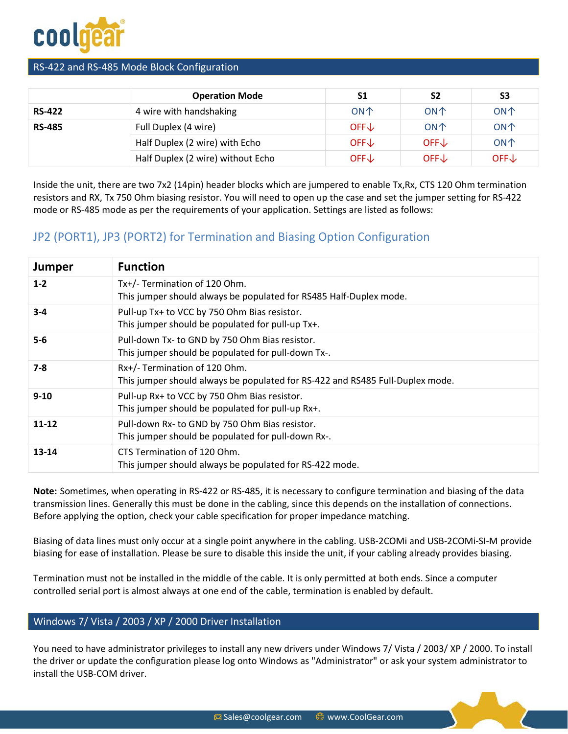

### RS-422 and RS-485 Mode Block Configuration

|               | <b>Operation Mode</b>             | S1              | S <sub>2</sub>  | S <sub>3</sub>  |
|---------------|-----------------------------------|-----------------|-----------------|-----------------|
| <b>RS-422</b> | 4 wire with handshaking           | <b>ON个</b>      | ON <sup>1</sup> | <b>ON个</b>      |
| <b>RS-485</b> | Full Duplex (4 wire)              | $OFF\downarrow$ | ON <sup>1</sup> | <b>ON个</b>      |
|               | Half Duplex (2 wire) with Echo    | $OFF\downarrow$ | $OFF\downarrow$ | <b>ON个</b>      |
|               | Half Duplex (2 wire) without Echo | $OFF\downarrow$ | $OFF\downarrow$ | $OFF\downarrow$ |

Inside the unit, there are two 7x2 (14pin) header blocks which are jumpered to enable Tx,Rx, CTS 120 Ohm termination resistors and RX, Tx 750 Ohm biasing resistor. You will need to open up the case and set the jumper setting for RS-422 mode or RS-485 mode as per the requirements of your application. Settings are listed as follows:

# JP2 (PORT1), JP3 (PORT2) for Termination and Biasing Option Configuration

| <b>Jumper</b> | <b>Function</b>                                                                                                |
|---------------|----------------------------------------------------------------------------------------------------------------|
| $1 - 2$       | Tx+/- Termination of 120 Ohm.<br>This jumper should always be populated for RS485 Half-Duplex mode.            |
| $3 - 4$       | Pull-up Tx+ to VCC by 750 Ohm Bias resistor.<br>This jumper should be populated for pull-up Tx+.               |
| $5-6$         | Pull-down Tx- to GND by 750 Ohm Bias resistor.<br>This jumper should be populated for pull-down Tx-.           |
| $7 - 8$       | Rx+/- Termination of 120 Ohm.<br>This jumper should always be populated for RS-422 and RS485 Full-Duplex mode. |
| $9 - 10$      | Pull-up Rx+ to VCC by 750 Ohm Bias resistor.<br>This jumper should be populated for pull-up Rx+.               |
| $11 - 12$     | Pull-down Rx- to GND by 750 Ohm Bias resistor.<br>This jumper should be populated for pull-down Rx-.           |
| 13-14         | CTS Termination of 120 Ohm.<br>This jumper should always be populated for RS-422 mode.                         |

**Note:** Sometimes, when operating in RS-422 or RS-485, it is necessary to configure termination and biasing of the data transmission lines. Generally this must be done in the cabling, since this depends on the installation of connections. Before applying the option, check your cable specification for proper impedance matching.

Biasing of data lines must only occur at a single point anywhere in the cabling. USB-2COMi and USB-2COMi-SI-M provide biasing for ease of installation. Please be sure to disable this inside the unit, if your cabling already provides biasing.

Termination must not be installed in the middle of the cable. It is only permitted at both ends. Since a computer controlled serial port is almost always at one end of the cable, termination is enabled by default.

### Windows 7/ Vista / 2003 / XP / 2000 Driver Installation

You need to have administrator privileges to install any new drivers under Windows 7/ Vista / 2003/ XP / 2000. To install the driver or update the configuration please log onto Windows as "Administrator" or ask your system administrator to install the USB-COM driver.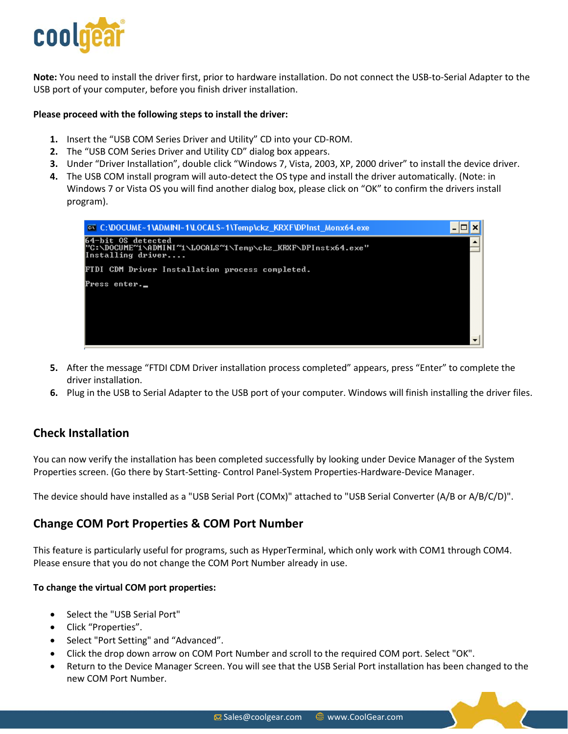

**Note:** You need to install the driver first, prior to hardware installation. Do not connect the USB-to-Serial Adapter to the USB port of your computer, before you finish driver installation.

#### **Please proceed with the following steps to install the driver:**

- **1.** Insert the "USB COM Series Driver and Utility" CD into your CD-ROM.
- **2.** The "USB COM Series Driver and Utility CD" dialog box appears.
- **3.** Under "Driver Installation", double click "Windows 7, Vista, 2003, XP, 2000 driver" to install the device driver.
- **4.** The USB COM install program will auto-detect the OS type and install the driver automatically. (Note: in Windows 7 or Vista OS you will find another dialog box, please click on "OK" to confirm the drivers install program).



- **5.** After the message "FTDI CDM Driver installation process completed" appears, press "Enter" to complete the driver installation.
- **6.** Plug in the USB to Serial Adapter to the USB port of your computer. Windows will finish installing the driver files.

### **Check Installation**

You can now verify the installation has been completed successfully by looking under Device Manager of the System Properties screen. (Go there by Start-Setting- Control Panel-System Properties-Hardware-Device Manager.

The device should have installed as a "USB Serial Port (COMx)" attached to "USB Serial Converter (A/B or A/B/C/D)".

### **Change COM Port Properties & COM Port Number**

This feature is particularly useful for programs, such as HyperTerminal, which only work with COM1 through COM4. Please ensure that you do not change the COM Port Number already in use.

#### **To change the virtual COM port properties:**

- Select the "USB Serial Port"
- Click "Properties".
- Select "Port Setting" and "Advanced".
- Click the drop down arrow on COM Port Number and scroll to the required COM port. Select "OK".
- Return to the Device Manager Screen. You will see that the USB Serial Port installation has been changed to the new COM Port Number.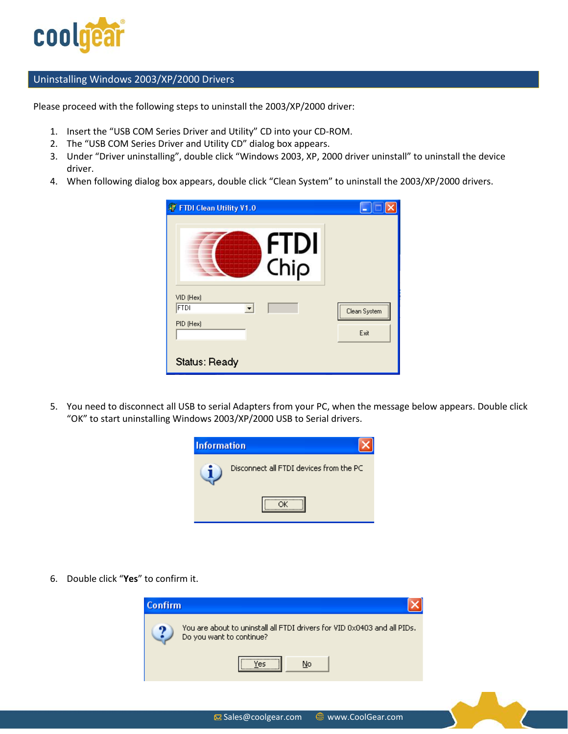

#### Uninstalling Windows 2003/XP/2000 Drivers

Please proceed with the following steps to uninstall the 2003/XP/2000 driver:

- 1. Insert the "USB COM Series Driver and Utility" CD into your CD-ROM.
- 2. The "USB COM Series Driver and Utility CD" dialog box appears.
- 3. Under "Driver uninstalling", double click "Windows 2003, XP, 2000 driver uninstall" to uninstall the device driver.
- 4. When following dialog box appears, double click "Clean System" to uninstall the 2003/XP/2000 drivers.

| <b>OF FTDI Clean Utility V1.0</b> |                  |
|-----------------------------------|------------------|
| <b>FTDI</b><br>Chip               |                  |
| VID (Hex)<br><b>FTDI</b>          | <br>Clean System |
| PID (Hex)                         | <br>Exit         |
| Status: Ready                     |                  |

5. You need to disconnect all USB to serial Adapters from your PC, when the message below appears. Double click "OK" to start uninstalling Windows 2003/XP/2000 USB to Serial drivers.



6. Double click "**Yes**" to confirm it.

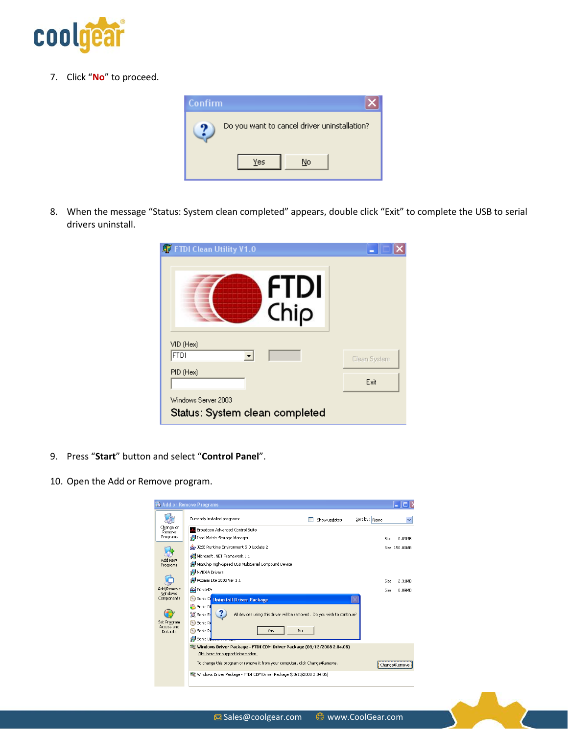

7. Click "**No**" to proceed.



8. When the message "Status: System clean completed" appears, double click "Exit" to complete the USB to serial drivers uninstall.

| <b>AT FTDI Clean Utility V1.0</b>                     |              |
|-------------------------------------------------------|--------------|
| <b>FTDI</b><br>Chip                                   |              |
| VID (Hex)<br><b>FTDI</b>                              | Clean System |
| PID (Hex)                                             | Exit         |
| Windows Server 2003<br>Status: System clean completed |              |

- 9. Press "**Start**" button and select "**Control Panel**".
- 10. Open the Add or Remove program.

|                           | Add or Remove Programs                                                                        |
|---------------------------|-----------------------------------------------------------------------------------------------|
|                           | Currently installed programs:<br>Sort by: Name<br>Show updates                                |
| Change or<br>Remove       | Broadcom Advanced Control Suite                                                               |
| Programs                  | Intel Matrix Storage Manager<br>0.89MB<br>Size                                                |
|                           | 325E Runtime Environment 5.0 Update 2<br>Size 150.00MB                                        |
|                           | 網 Microsoft .NET Framework 1.1                                                                |
| Add New<br>Programs       | MosChip High-Speed USB MultiSerial Compound Device                                            |
|                           | <b>N</b> INVIDIA Drivers                                                                      |
|                           | PComm Lite 2000 Ver 1.1<br>Size<br>2.31MB                                                     |
| Add/Remove<br>Windows     | <b>PowerD</b><br>0.89MB<br>Size                                                               |
| Components                | ⊚<br>Sonic C<br><b>Uninstall Driver Package</b>                                               |
|                           | Sonic Di                                                                                      |
|                           | Sonic Ex<br>All devices using this driver will be removed. Do you wish to continue?           |
| Set Program<br>Access and | Sonic R                                                                                       |
| Defaults                  | ⊝<br>Sonic R<br>No<br>Yes                                                                     |
|                           | in Sonic U                                                                                    |
|                           | Windows Driver Package - FTDI CDM Driver Package (03/13/2008 2.04.06)                         |
|                           | Click here for support information.                                                           |
|                           | To change this program or remove it from your computer, click Change/Remove.<br>Change/Remove |
|                           | Windows Driver Package - FTDI CDM Driver Package (03/13/2008 2.04.06)                         |
|                           |                                                                                               |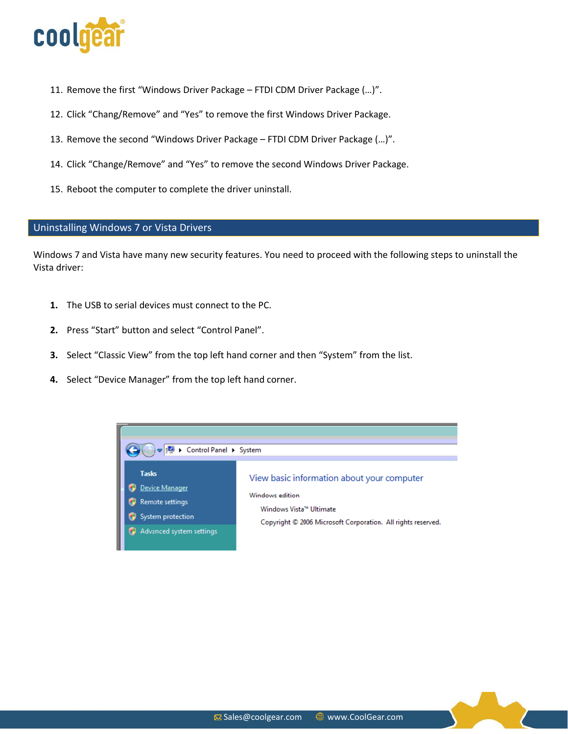

- 11. Remove the first "Windows Driver Package FTDI CDM Driver Package (…)".
- 12. Click "Chang/Remove" and "Yes" to remove the first Windows Driver Package.
- 13. Remove the second "Windows Driver Package FTDI CDM Driver Package (…)".
- 14. Click "Change/Remove" and "Yes" to remove the second Windows Driver Package.
- 15. Reboot the computer to complete the driver uninstall.

#### Uninstalling Windows 7 or Vista Drivers

Windows 7 and Vista have many new security features. You need to proceed with the following steps to uninstall the Vista driver:

- **1.** The USB to serial devices must connect to the PC.
- **2.** Press "Start" button and select "Control Panel".
- **3.** Select "Classic View" from the top left hand corner and then "System" from the list.
- **4.** Select "Device Manager" from the top left hand corner.

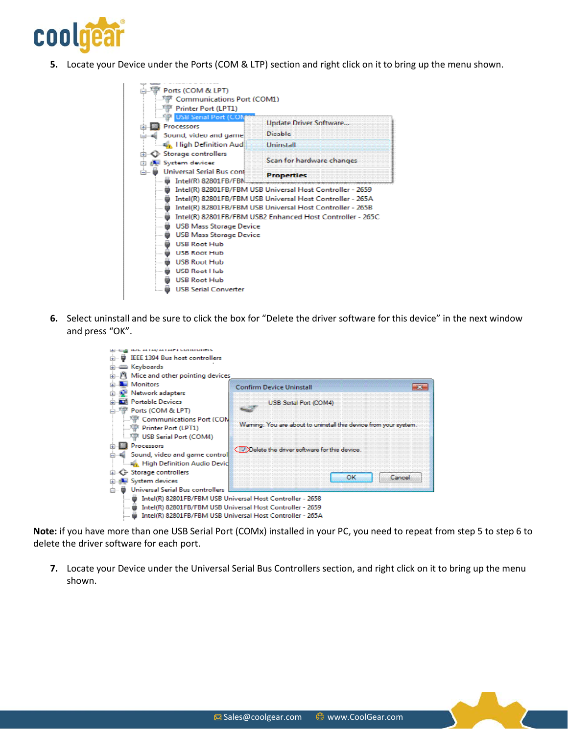

**5.** Locate your Device under the Ports (COM & LTP) section and right click on it to bring up the menu shown.



**6.** Select uninstall and be sure to click the box for "Delete the driver software for this device" in the next window and press "OK".



**Note:** if you have more than one USB Serial Port (COMx) installed in your PC, you need to repeat from step 5 to step 6 to delete the driver software for each port.

**7.** Locate your Device under the Universal Serial Bus Controllers section, and right click on it to bring up the menu shown.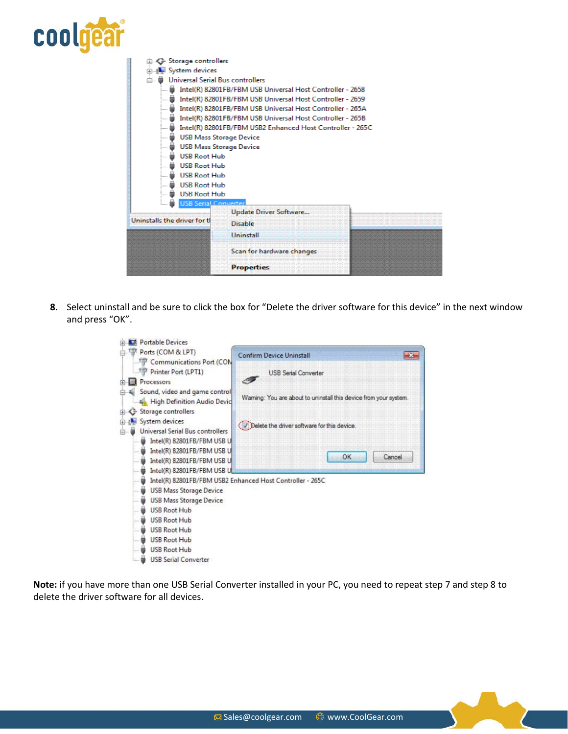

| Storage controllers                     |                                                           |  |  |
|-----------------------------------------|-----------------------------------------------------------|--|--|
| System devices                          |                                                           |  |  |
|                                         | <b>Universal Serial Bus controllers</b>                   |  |  |
|                                         | Intel(R) 82801FB/FBM USB Universal Host Controller - 2658 |  |  |
|                                         | Intel(R) 82801FB/FBM USB Universal Host Controller - 2659 |  |  |
|                                         | Intel(R) 82801FB/FBM USB Universal Host Controller - 265A |  |  |
|                                         | Intel(R) 82801FB/FBM USB Universal Host Controller - 265B |  |  |
| .                                       | Intel(R) 82801FB/FBM USB2 Enhanced Host Controller - 265C |  |  |
| <b>USB Mass Storage Device</b>          |                                                           |  |  |
| USB Mass Storage Device                 |                                                           |  |  |
|                                         | ⊯ USB Root Hub                                            |  |  |
| <b>USB Root Hub</b>                     |                                                           |  |  |
| <b>USB Root Hub</b>                     |                                                           |  |  |
| <b>USB Root Hub</b>                     |                                                           |  |  |
| <b>USB Root Hub</b><br>i                |                                                           |  |  |
| USB Serial Converter<br>$\frac{1}{2}$   |                                                           |  |  |
|                                         | <b>Update Driver Software</b>                             |  |  |
| Uninstalls the driver for th<br>Disable |                                                           |  |  |
|                                         | <b>Uninctall</b>                                          |  |  |
|                                         |                                                           |  |  |
|                                         | Scan for hardware changes                                 |  |  |
|                                         | <b>Properties</b>                                         |  |  |

**8.** Select uninstall and be sure to click the box for "Delete the driver software for this device" in the next window and press "OK".



**Note:** if you have more than one USB Serial Converter installed in your PC, you need to repeat step 7 and step 8 to delete the driver software for all devices.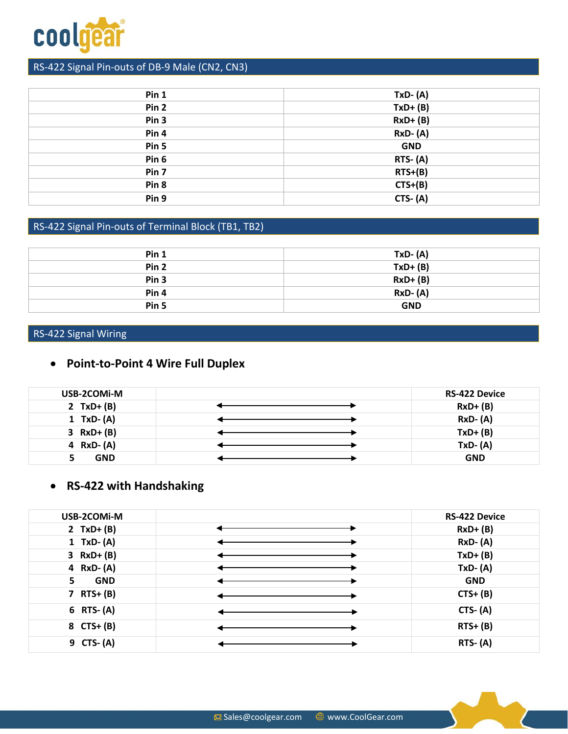

# RS-422 Signal Pin-outs of DB-9 Male (CN2, CN3)

| Pin 1            | $TxD - (A)$    |
|------------------|----------------|
| Pin <sub>2</sub> | $TxD+(B)$      |
| Pin <sub>3</sub> | $RxD+ (B)$     |
| Pin 4            | <b>RxD-(A)</b> |
| Pin 5            | <b>GND</b>     |
| Pin 6            | $RTS- (A)$     |
| Pin 7            | $RTS+(B)$      |
| Pin <sub>8</sub> | $CTS+(B)$      |
| Pin 9            | $CTS- (A)$     |
|                  |                |

# RS-422 Signal Pin-outs of Terminal Block (TB1, TB2)

| Pin 1            | $TxD - (A)$ |
|------------------|-------------|
| Pin <sub>2</sub> | $TxD+(B)$   |
| Pin <sub>3</sub> | $RxD+ (B)$  |
| Pin <sub>4</sub> | $RxD-(A)$   |
| Pin 5            | <b>GND</b>  |

# RS-422 Signal Wiring

# • **Point-to-Point 4 Wire Full Duplex**

| USB-2COMi-M   | <b>RS-422 Device</b> |
|---------------|----------------------|
| 2 $TxD+(B)$   | $RxD+ (B)$           |
| 1 TxD- $(A)$  | $RxD-(A)$            |
| $3 RxD+ (B)$  | $TxD+ (B)$           |
| 4 $RxD - (A)$ | $TxD - (A)$          |
| <b>GND</b>    | <b>GND</b>           |

# • **RS-422 with Handshaking**

| USB-2COMi-M      | <b>RS-422 Device</b> |
|------------------|----------------------|
| 2 $TxD+(B)$      | $RxD+ (B)$           |
| 1 TxD- $(A)$     | $RxD-(A)$            |
| $3 RxD+ (B)$     | $TxD+(B)$            |
| 4 $RxD - (A)$    | $TxD - (A)$          |
| <b>GND</b><br>5. | <b>GND</b>           |
| 7 $RTS + (B)$    | $CTS+ (B)$           |
| $6$ RTS- $(A)$   | $CTS- (A)$           |
| 8 $CTS+ (B)$     | $RTS+ (B)$           |
| 9 CTS- (A)       | $RTS - (A)$          |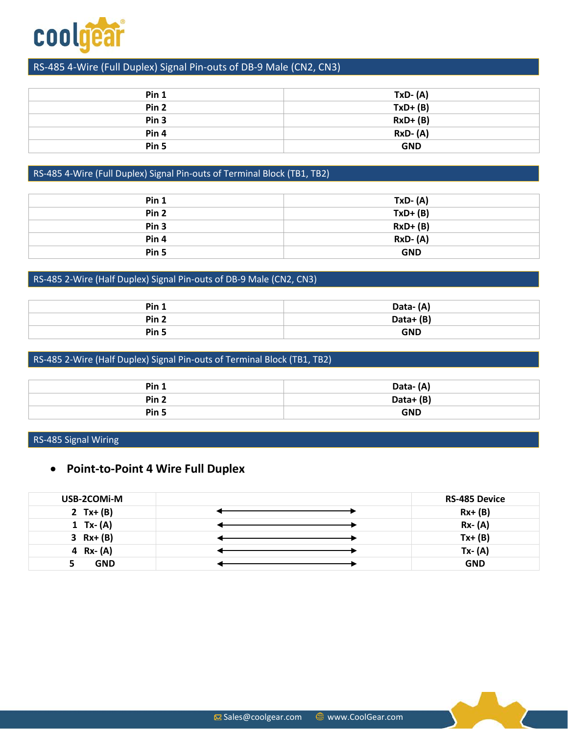

### RS-485 4-Wire (Full Duplex) Signal Pin-outs of DB-9 Male (CN2, CN3)

| Pin 1            | $TxD - (A)$ |
|------------------|-------------|
| Pin <sub>2</sub> | $TxD+(B)$   |
| Pin <sub>3</sub> | $RxD+ (B)$  |
| Pin 4            | $RxD-(A)$   |
| Pin 5            | <b>GND</b>  |

### RS-485 4-Wire (Full Duplex) Signal Pin-outs of Terminal Block (TB1, TB2)

| Pin <sub>1</sub> | $TxD-(A)$  |
|------------------|------------|
| Pin <sub>2</sub> | $TxD+(B)$  |
| Pin <sub>3</sub> | $RxD+ (B)$ |
| Pin <sub>4</sub> | $RxD-(A)$  |
| Pin 5            | <b>GND</b> |

### RS-485 2-Wire (Half Duplex) Signal Pin-outs of DB-9 Male (CN2, CN3)

| Pin 1            | Data-(A)    |  |
|------------------|-------------|--|
| Pin <sub>2</sub> | Data+ $(B)$ |  |
| Pin <sub>5</sub> | <b>GND</b>  |  |

### RS-485 2-Wire (Half Duplex) Signal Pin-outs of Terminal Block (TB1, TB2)

| Pin 1            | Data-(A)   |  |
|------------------|------------|--|
| Pin <sub>2</sub> | Data+(B)   |  |
| Pin <sub>5</sub> | <b>GND</b> |  |

#### RS-485 Signal Wiring

### • **Point-to-Point 4 Wire Full Duplex**

| USB-2COMI-M  | <b>RS-485 Device</b> |
|--------------|----------------------|
| 2 $Tx + (B)$ | $Rx+ (B)$            |
| 1 $Tx - (A)$ | $Rx - (A)$           |
| $3 Rx + (B)$ | $Tx + (B)$           |
| 4 $Rx - (A)$ | $Tx - (A)$           |
| <b>GND</b>   | <b>GND</b>           |